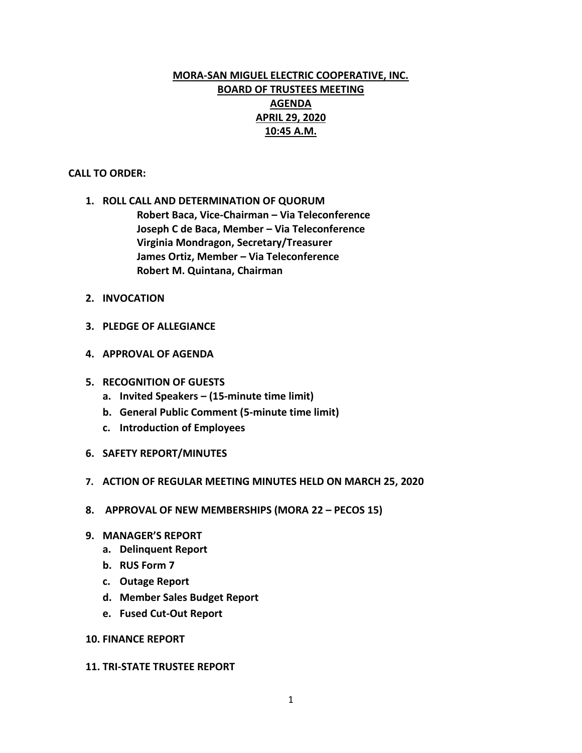# **MORA-SAN MIGUEL ELECTRIC COOPERATIVE, INC. BOARD OF TRUSTEES MEETING AGENDA APRIL 29, 2020 10:45 A.M.**

#### **CALL TO ORDER:**

**1. ROLL CALL AND DETERMINATION OF QUORUM Robert Baca, Vice-Chairman – Via Teleconference Joseph C de Baca, Member – Via Teleconference Virginia Mondragon, Secretary/Treasurer James Ortiz, Member – Via Teleconference Robert M. Quintana, Chairman**

- **2. INVOCATION**
- **3. PLEDGE OF ALLEGIANCE**
- **4. APPROVAL OF AGENDA**
- **5. RECOGNITION OF GUESTS**
	- **a. Invited Speakers – (15-minute time limit)**
	- **b. General Public Comment (5-minute time limit)**
	- **c. Introduction of Employees**
- **6. SAFETY REPORT/MINUTES**
- **7. ACTION OF REGULAR MEETING MINUTES HELD ON MARCH 25, 2020**
- **8. APPROVAL OF NEW MEMBERSHIPS (MORA 22 – PECOS 15)**
- **9. MANAGER'S REPORT**
	- **a. Delinquent Report**
	- **b. RUS Form 7**
	- **c. Outage Report**
	- **d. Member Sales Budget Report**
	- **e. Fused Cut-Out Report**

#### **10. FINANCE REPORT**

#### **11. TRI-STATE TRUSTEE REPORT**